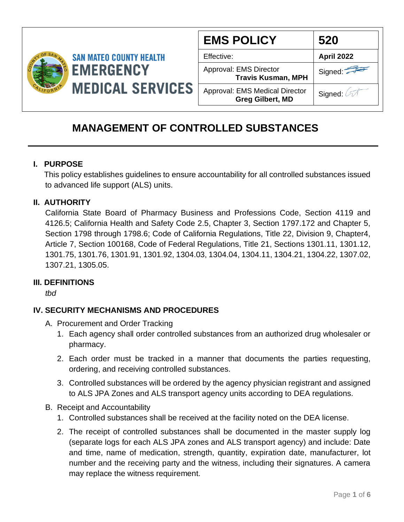

| <b>EMS POLICY</b>                                                | 520        |
|------------------------------------------------------------------|------------|
| Effective:                                                       | April 2022 |
| Approval: EMS Director<br><b>Travis Kusman, MPH</b>              | Signed:    |
| <b>Approval: EMS Medical Director</b><br><b>Greg Gilbert, MD</b> | Signed: 4  |

# **MANAGEMENT OF CONTROLLED SUBSTANCES**

#### **I. PURPOSE**

 This policy establishes guidelines to ensure accountability for all controlled substances issued to advanced life support (ALS) units.

### **II. AUTHORITY**

California State Board of Pharmacy Business and Professions Code, Section 4119 and 4126.5; California Health and Safety Code 2.5, Chapter 3, Section 1797.172 and Chapter 5, Section 1798 through 1798.6; Code of California Regulations, Title 22, Division 9, Chapter4, Article 7, Section 100168, Code of Federal Regulations, Title 21, Sections 1301.11, 1301.12, 1301.75, 1301.76, 1301.91, 1301.92, 1304.03, 1304.04, 1304.11, 1304.21, 1304.22, 1307.02, 1307.21, 1305.05.

#### **III. DEFINITIONS**

*tbd*

### **IV. SECURITY MECHANISMS AND PROCEDURES**

- A. Procurement and Order Tracking
	- 1. Each agency shall order controlled substances from an authorized drug wholesaler or pharmacy.
	- 2. Each order must be tracked in a manner that documents the parties requesting, ordering, and receiving controlled substances.
	- 3. Controlled substances will be ordered by the agency physician registrant and assigned to ALS JPA Zones and ALS transport agency units according to DEA regulations.
- B. Receipt and Accountability
	- 1. Controlled substances shall be received at the facility noted on the DEA license.
	- 2. The receipt of controlled substances shall be documented in the master supply log (separate logs for each ALS JPA zones and ALS transport agency) and include: Date and time, name of medication, strength, quantity, expiration date, manufacturer, lot number and the receiving party and the witness, including their signatures. A camera may replace the witness requirement.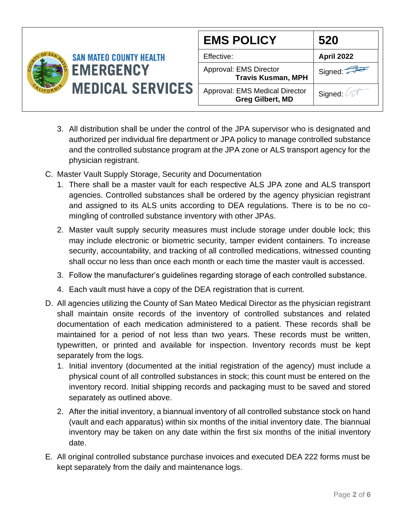

| <b>EMS POLICY</b>                                                | 520        |
|------------------------------------------------------------------|------------|
| Effective:                                                       | April 2022 |
| Approval: EMS Director<br><b>Travis Kusman, MPH</b>              | Signed:    |
| <b>Approval: EMS Medical Director</b><br><b>Greg Gilbert, MD</b> | Signed:    |

- 3. All distribution shall be under the control of the JPA supervisor who is designated and authorized per individual fire department or JPA policy to manage controlled substance and the controlled substance program at the JPA zone or ALS transport agency for the physician registrant.
- C. Master Vault Supply Storage, Security and Documentation
	- 1. There shall be a master vault for each respective ALS JPA zone and ALS transport agencies. Controlled substances shall be ordered by the agency physician registrant and assigned to its ALS units according to DEA regulations. There is to be no comingling of controlled substance inventory with other JPAs.
	- 2. Master vault supply security measures must include storage under double lock; this may include electronic or biometric security, tamper evident containers. To increase security, accountability, and tracking of all controlled medications, witnessed counting shall occur no less than once each month or each time the master vault is accessed.
	- 3. Follow the manufacturer's guidelines regarding storage of each controlled substance.
	- 4. Each vault must have a copy of the DEA registration that is current.
- D. All agencies utilizing the County of San Mateo Medical Director as the physician registrant shall maintain onsite records of the inventory of controlled substances and related documentation of each medication administered to a patient. These records shall be maintained for a period of not less than two years. These records must be written, typewritten, or printed and available for inspection. Inventory records must be kept separately from the logs.
	- 1. Initial inventory (documented at the initial registration of the agency) must include a physical count of all controlled substances in stock; this count must be entered on the inventory record. Initial shipping records and packaging must to be saved and stored separately as outlined above.
	- 2. After the initial inventory, a biannual inventory of all controlled substance stock on hand (vault and each apparatus) within six months of the initial inventory date. The biannual inventory may be taken on any date within the first six months of the initial inventory date.
- E. All original controlled substance purchase invoices and executed DEA 222 forms must be kept separately from the daily and maintenance logs.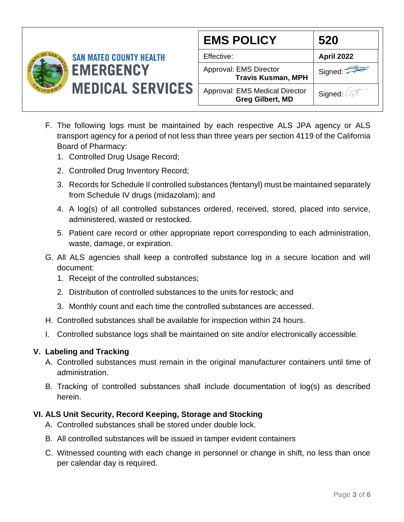

| <b>EMS POLICY</b>                                                | 520        |
|------------------------------------------------------------------|------------|
| Effective:                                                       | April 2022 |
| Approval: EMS Director<br><b>Travis Kusman, MPH</b>              | Signed:    |
| <b>Approval: EMS Medical Director</b><br><b>Greg Gilbert, MD</b> | Signed:    |

- F. The following logs must be maintained by each respective ALS JPA agency or ALS transport agency for a period of not less than three years per section 4119 of the California Board of Pharmacy:
	- 1. Controlled Drug Usage Record;
	- 2. Controlled Drug Inventory Record;
	- 3. Records for Schedule II controlled substances (fentanyl) must be maintained separately from Schedule IV drugs (midazolam); and
	- 4. A log(s) of all controlled substances ordered, received, stored, placed into service, administered, wasted or restocked.
	- 5. Patient care record or other appropriate report corresponding to each administration, waste, damage, or expiration.
- G. All ALS agencies shall keep a controlled substance log in a secure location and will document:
	- 1. Receipt of the controlled substances;
	- 2. Distribution of controlled substances to the units for restock; and
	- 3. Monthly count and each time the controlled substances are accessed.
- H. Controlled substances shall be available for inspection within 24 hours.
- I. Controlled substance logs shall be maintained on site and/or electronically accessible.

### **V. Labeling and Tracking**

- A. Controlled substances must remain in the original manufacturer containers until time of administration.
- B. Tracking of controlled substances shall include documentation of log(s) as described herein.

### **VI. ALS Unit Security, Record Keeping, Storage and Stocking**

- A. Controlled substances shall be stored under double lock.
- B. All controlled substances will be issued in tamper evident containers
- C. Witnessed counting with each change in personnel or change in shift, no less than once per calendar day is required.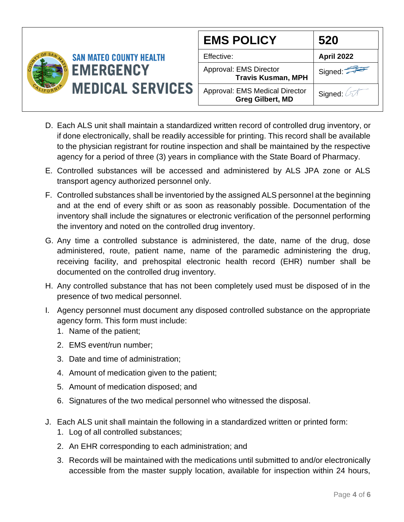

- D. Each ALS unit shall maintain a standardized written record of controlled drug inventory, or if done electronically, shall be readily accessible for printing. This record shall be available to the physician registrant for routine inspection and shall be maintained by the respective agency for a period of three (3) years in compliance with the State Board of Pharmacy.
- E. Controlled substances will be accessed and administered by ALS JPA zone or ALS transport agency authorized personnel only.
- F. Controlled substances shall be inventoried by the assigned ALS personnel at the beginning and at the end of every shift or as soon as reasonably possible. Documentation of the inventory shall include the signatures or electronic verification of the personnel performing the inventory and noted on the controlled drug inventory.
- G. Any time a controlled substance is administered, the date, name of the drug, dose administered, route, patient name, name of the paramedic administering the drug, receiving facility, and prehospital electronic health record (EHR) number shall be documented on the controlled drug inventory.
- H. Any controlled substance that has not been completely used must be disposed of in the presence of two medical personnel.
- I. Agency personnel must document any disposed controlled substance on the appropriate agency form. This form must include:
	- 1. Name of the patient;
	- 2. EMS event/run number;
	- 3. Date and time of administration;
	- 4. Amount of medication given to the patient;
	- 5. Amount of medication disposed; and
	- 6. Signatures of the two medical personnel who witnessed the disposal.
- J. Each ALS unit shall maintain the following in a standardized written or printed form:
	- 1. Log of all controlled substances;
	- 2. An EHR corresponding to each administration; and
	- 3. Records will be maintained with the medications until submitted to and/or electronically accessible from the master supply location, available for inspection within 24 hours,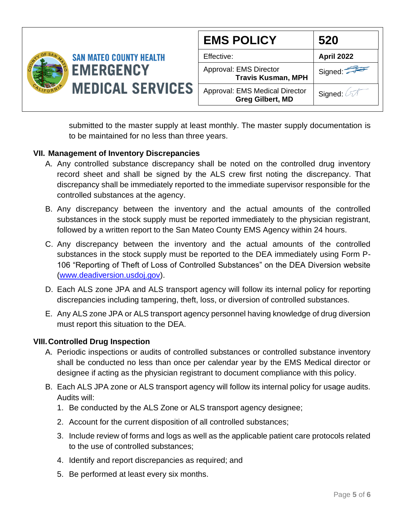

|                      | 520        |
|----------------------|------------|
|                      | April 2022 |
| ۱r<br>nan, MPH       | Signed:    |
| al Director<br>t, MD | Signed: 67 |

submitted to the master supply at least monthly. The master supply documentation is to be maintained for no less than three years.

### **VII. Management of Inventory Discrepancies**

- A. Any controlled substance discrepancy shall be noted on the controlled drug inventory record sheet and shall be signed by the ALS crew first noting the discrepancy. That discrepancy shall be immediately reported to the immediate supervisor responsible for the controlled substances at the agency.
- B. Any discrepancy between the inventory and the actual amounts of the controlled substances in the stock supply must be reported immediately to the physician registrant, followed by a written report to the San Mateo County EMS Agency within 24 hours.
- C. Any discrepancy between the inventory and the actual amounts of the controlled substances in the stock supply must be reported to the DEA immediately using Form P-106 "Reporting of Theft of Loss of Controlled Substances" on the DEA Diversion website [\(www.deadiversion.usdoj.gov\)](http://www.deadiversion.usdoj.gov/).
- D. Each ALS zone JPA and ALS transport agency will follow its internal policy for reporting discrepancies including tampering, theft, loss, or diversion of controlled substances.
- E. Any ALS zone JPA or ALS transport agency personnel having knowledge of drug diversion must report this situation to the DEA.

### **VIII.Controlled Drug Inspection**

- A. Periodic inspections or audits of controlled substances or controlled substance inventory shall be conducted no less than once per calendar year by the EMS Medical director or designee if acting as the physician registrant to document compliance with this policy.
- B. Each ALS JPA zone or ALS transport agency will follow its internal policy for usage audits. Audits will:
	- 1. Be conducted by the ALS Zone or ALS transport agency designee;
	- 2. Account for the current disposition of all controlled substances;
	- 3. Include review of forms and logs as well as the applicable patient care protocols related to the use of controlled substances;
	- 4. Identify and report discrepancies as required; and
	- 5. Be performed at least every six months.